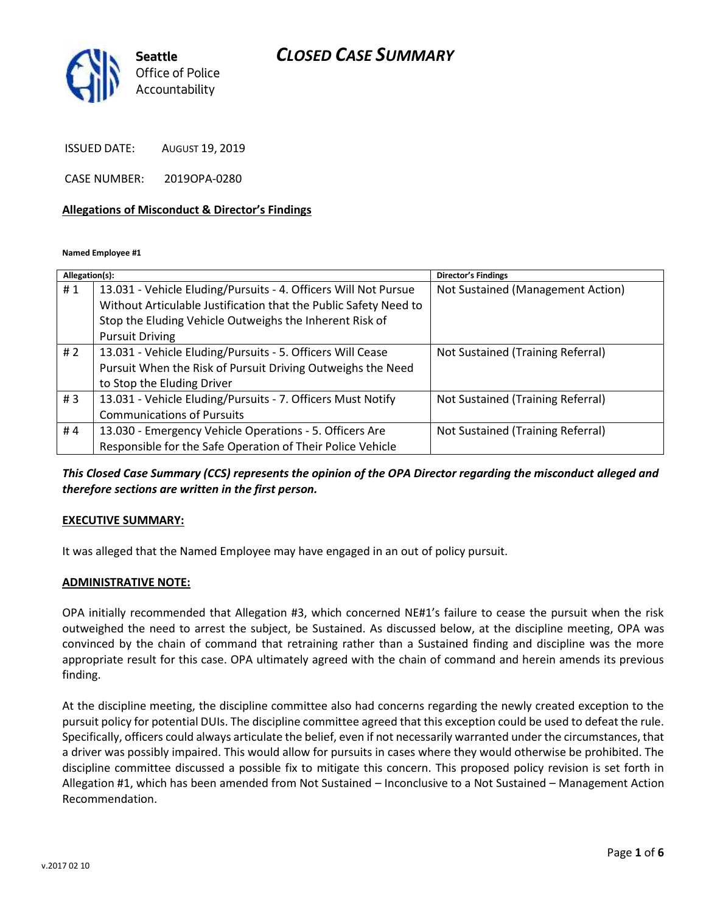# *CLOSED CASE SUMMARY*



ISSUED DATE: AUGUST 19, 2019

CASE NUMBER: 2019OPA-0280

### **Allegations of Misconduct & Director's Findings**

**Named Employee #1**

| Allegation(s): |                                                                  | <b>Director's Findings</b>        |
|----------------|------------------------------------------------------------------|-----------------------------------|
| #1             | 13.031 - Vehicle Eluding/Pursuits - 4. Officers Will Not Pursue  | Not Sustained (Management Action) |
|                | Without Articulable Justification that the Public Safety Need to |                                   |
|                | Stop the Eluding Vehicle Outweighs the Inherent Risk of          |                                   |
|                | <b>Pursuit Driving</b>                                           |                                   |
| #2             | 13.031 - Vehicle Eluding/Pursuits - 5. Officers Will Cease       | Not Sustained (Training Referral) |
|                | Pursuit When the Risk of Pursuit Driving Outweighs the Need      |                                   |
|                | to Stop the Eluding Driver                                       |                                   |
| #3             | 13.031 - Vehicle Eluding/Pursuits - 7. Officers Must Notify      | Not Sustained (Training Referral) |
|                | <b>Communications of Pursuits</b>                                |                                   |
| #4             | 13.030 - Emergency Vehicle Operations - 5. Officers Are          | Not Sustained (Training Referral) |
|                | Responsible for the Safe Operation of Their Police Vehicle       |                                   |

*This Closed Case Summary (CCS) represents the opinion of the OPA Director regarding the misconduct alleged and therefore sections are written in the first person.* 

### **EXECUTIVE SUMMARY:**

It was alleged that the Named Employee may have engaged in an out of policy pursuit.

#### **ADMINISTRATIVE NOTE:**

OPA initially recommended that Allegation #3, which concerned NE#1's failure to cease the pursuit when the risk outweighed the need to arrest the subject, be Sustained. As discussed below, at the discipline meeting, OPA was convinced by the chain of command that retraining rather than a Sustained finding and discipline was the more appropriate result for this case. OPA ultimately agreed with the chain of command and herein amends its previous finding.

At the discipline meeting, the discipline committee also had concerns regarding the newly created exception to the pursuit policy for potential DUIs. The discipline committee agreed that this exception could be used to defeat the rule. Specifically, officers could always articulate the belief, even if not necessarily warranted under the circumstances, that a driver was possibly impaired. This would allow for pursuits in cases where they would otherwise be prohibited. The discipline committee discussed a possible fix to mitigate this concern. This proposed policy revision is set forth in Allegation #1, which has been amended from Not Sustained – Inconclusive to a Not Sustained – Management Action Recommendation.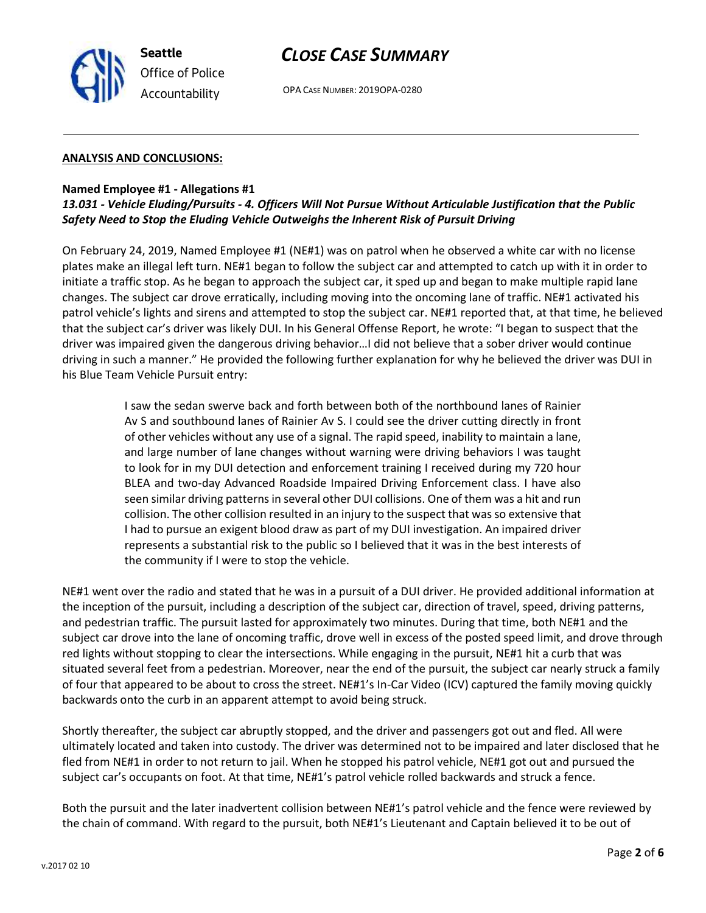

# *CLOSE CASE SUMMARY*

OPA CASE NUMBER: 2019OPA-0280

### **ANALYSIS AND CONCLUSIONS:**

### **Named Employee #1 - Allegations #1**

## *13.031 - Vehicle Eluding/Pursuits - 4. Officers Will Not Pursue Without Articulable Justification that the Public Safety Need to Stop the Eluding Vehicle Outweighs the Inherent Risk of Pursuit Driving*

On February 24, 2019, Named Employee #1 (NE#1) was on patrol when he observed a white car with no license plates make an illegal left turn. NE#1 began to follow the subject car and attempted to catch up with it in order to initiate a traffic stop. As he began to approach the subject car, it sped up and began to make multiple rapid lane changes. The subject car drove erratically, including moving into the oncoming lane of traffic. NE#1 activated his patrol vehicle's lights and sirens and attempted to stop the subject car. NE#1 reported that, at that time, he believed that the subject car's driver was likely DUI. In his General Offense Report, he wrote: "I began to suspect that the driver was impaired given the dangerous driving behavior…I did not believe that a sober driver would continue driving in such a manner." He provided the following further explanation for why he believed the driver was DUI in his Blue Team Vehicle Pursuit entry:

> I saw the sedan swerve back and forth between both of the northbound lanes of Rainier Av S and southbound lanes of Rainier Av S. I could see the driver cutting directly in front of other vehicles without any use of a signal. The rapid speed, inability to maintain a lane, and large number of lane changes without warning were driving behaviors I was taught to look for in my DUI detection and enforcement training I received during my 720 hour BLEA and two-day Advanced Roadside Impaired Driving Enforcement class. I have also seen similar driving patterns in several other DUI collisions. One of them was a hit and run collision. The other collision resulted in an injury to the suspect that was so extensive that I had to pursue an exigent blood draw as part of my DUI investigation. An impaired driver represents a substantial risk to the public so I believed that it was in the best interests of the community if I were to stop the vehicle.

NE#1 went over the radio and stated that he was in a pursuit of a DUI driver. He provided additional information at the inception of the pursuit, including a description of the subject car, direction of travel, speed, driving patterns, and pedestrian traffic. The pursuit lasted for approximately two minutes. During that time, both NE#1 and the subject car drove into the lane of oncoming traffic, drove well in excess of the posted speed limit, and drove through red lights without stopping to clear the intersections. While engaging in the pursuit, NE#1 hit a curb that was situated several feet from a pedestrian. Moreover, near the end of the pursuit, the subject car nearly struck a family of four that appeared to be about to cross the street. NE#1's In-Car Video (ICV) captured the family moving quickly backwards onto the curb in an apparent attempt to avoid being struck.

Shortly thereafter, the subject car abruptly stopped, and the driver and passengers got out and fled. All were ultimately located and taken into custody. The driver was determined not to be impaired and later disclosed that he fled from NE#1 in order to not return to jail. When he stopped his patrol vehicle, NE#1 got out and pursued the subject car's occupants on foot. At that time, NE#1's patrol vehicle rolled backwards and struck a fence.

Both the pursuit and the later inadvertent collision between NE#1's patrol vehicle and the fence were reviewed by the chain of command. With regard to the pursuit, both NE#1's Lieutenant and Captain believed it to be out of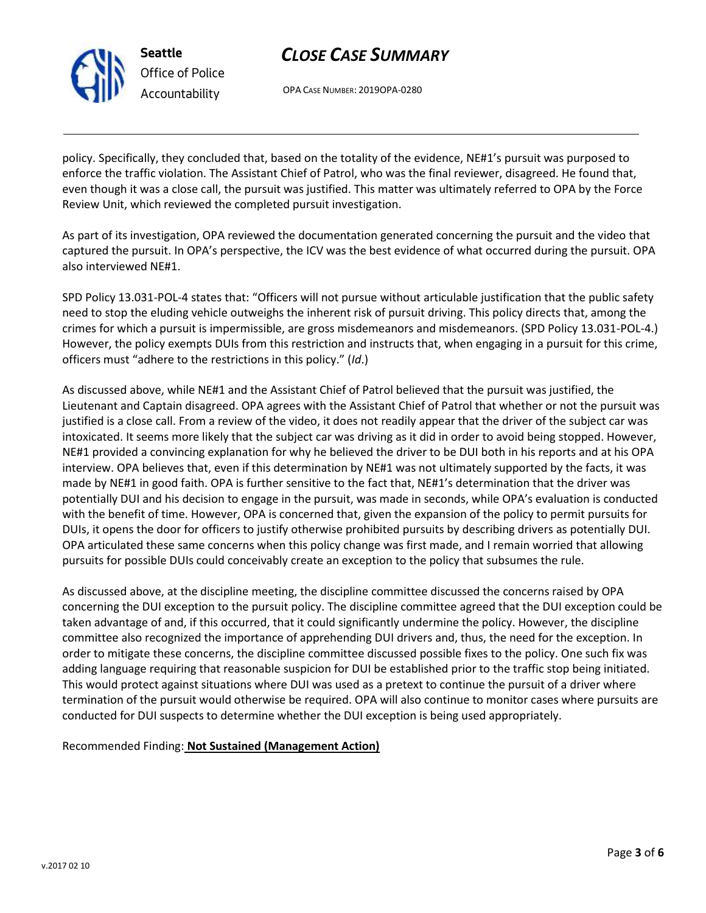

**Seattle** *Office of Police Accountability*

# *CLOSE CASE SUMMARY*

OPA CASE NUMBER: 2019OPA-0280

policy. Specifically, they concluded that, based on the totality of the evidence, NE#1's pursuit was purposed to enforce the traffic violation. The Assistant Chief of Patrol, who was the final reviewer, disagreed. He found that, even though it was a close call, the pursuit was justified. This matter was ultimately referred to OPA by the Force Review Unit, which reviewed the completed pursuit investigation.

As part of its investigation, OPA reviewed the documentation generated concerning the pursuit and the video that captured the pursuit. In OPA's perspective, the ICV was the best evidence of what occurred during the pursuit. OPA also interviewed NE#1.

SPD Policy 13.031-POL-4 states that: "Officers will not pursue without articulable justification that the public safety need to stop the eluding vehicle outweighs the inherent risk of pursuit driving. This policy directs that, among the crimes for which a pursuit is impermissible, are gross misdemeanors and misdemeanors. (SPD Policy 13.031-POL-4.) However, the policy exempts DUIs from this restriction and instructs that, when engaging in a pursuit for this crime, officers must "adhere to the restrictions in this policy." (*Id*.)

As discussed above, while NE#1 and the Assistant Chief of Patrol believed that the pursuit was justified, the Lieutenant and Captain disagreed. OPA agrees with the Assistant Chief of Patrol that whether or not the pursuit was justified is a close call. From a review of the video, it does not readily appear that the driver of the subject car was intoxicated. It seems more likely that the subject car was driving as it did in order to avoid being stopped. However, NE#1 provided a convincing explanation for why he believed the driver to be DUI both in his reports and at his OPA interview. OPA believes that, even if this determination by NE#1 was not ultimately supported by the facts, it was made by NE#1 in good faith. OPA is further sensitive to the fact that, NE#1's determination that the driver was potentially DUI and his decision to engage in the pursuit, was made in seconds, while OPA's evaluation is conducted with the benefit of time. However, OPA is concerned that, given the expansion of the policy to permit pursuits for DUIs, it opens the door for officers to justify otherwise prohibited pursuits by describing drivers as potentially DUI. OPA articulated these same concerns when this policy change was first made, and I remain worried that allowing pursuits for possible DUIs could conceivably create an exception to the policy that subsumes the rule.

As discussed above, at the discipline meeting, the discipline committee discussed the concerns raised by OPA concerning the DUI exception to the pursuit policy. The discipline committee agreed that the DUI exception could be taken advantage of and, if this occurred, that it could significantly undermine the policy. However, the discipline committee also recognized the importance of apprehending DUI drivers and, thus, the need for the exception. In order to mitigate these concerns, the discipline committee discussed possible fixes to the policy. One such fix was adding language requiring that reasonable suspicion for DUI be established prior to the traffic stop being initiated. This would protect against situations where DUI was used as a pretext to continue the pursuit of a driver where termination of the pursuit would otherwise be required. OPA will also continue to monitor cases where pursuits are conducted for DUI suspects to determine whether the DUI exception is being used appropriately.

Recommended Finding: **Not Sustained (Management Action)**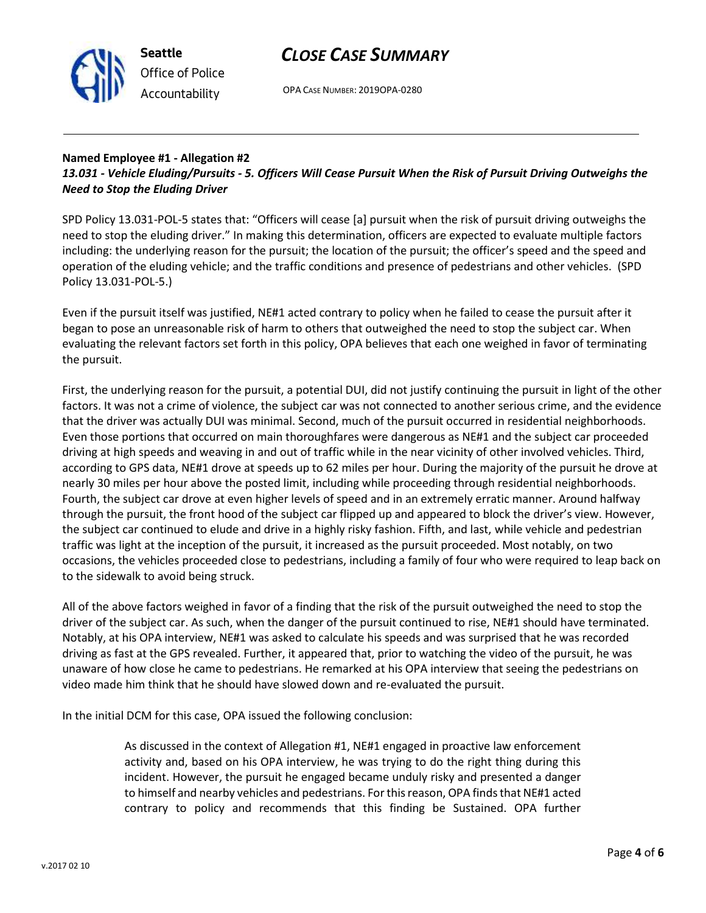



OPA CASE NUMBER: 2019OPA-0280

### **Named Employee #1 - Allegation #2** *13.031 - Vehicle Eluding/Pursuits - 5. Officers Will Cease Pursuit When the Risk of Pursuit Driving Outweighs the Need to Stop the Eluding Driver*

SPD Policy 13.031-POL-5 states that: "Officers will cease [a] pursuit when the risk of pursuit driving outweighs the need to stop the eluding driver." In making this determination, officers are expected to evaluate multiple factors including: the underlying reason for the pursuit; the location of the pursuit; the officer's speed and the speed and operation of the eluding vehicle; and the traffic conditions and presence of pedestrians and other vehicles. (SPD Policy 13.031-POL-5.)

Even if the pursuit itself was justified, NE#1 acted contrary to policy when he failed to cease the pursuit after it began to pose an unreasonable risk of harm to others that outweighed the need to stop the subject car. When evaluating the relevant factors set forth in this policy, OPA believes that each one weighed in favor of terminating the pursuit.

First, the underlying reason for the pursuit, a potential DUI, did not justify continuing the pursuit in light of the other factors. It was not a crime of violence, the subject car was not connected to another serious crime, and the evidence that the driver was actually DUI was minimal. Second, much of the pursuit occurred in residential neighborhoods. Even those portions that occurred on main thoroughfares were dangerous as NE#1 and the subject car proceeded driving at high speeds and weaving in and out of traffic while in the near vicinity of other involved vehicles. Third, according to GPS data, NE#1 drove at speeds up to 62 miles per hour. During the majority of the pursuit he drove at nearly 30 miles per hour above the posted limit, including while proceeding through residential neighborhoods. Fourth, the subject car drove at even higher levels of speed and in an extremely erratic manner. Around halfway through the pursuit, the front hood of the subject car flipped up and appeared to block the driver's view. However, the subject car continued to elude and drive in a highly risky fashion. Fifth, and last, while vehicle and pedestrian traffic was light at the inception of the pursuit, it increased as the pursuit proceeded. Most notably, on two occasions, the vehicles proceeded close to pedestrians, including a family of four who were required to leap back on to the sidewalk to avoid being struck.

All of the above factors weighed in favor of a finding that the risk of the pursuit outweighed the need to stop the driver of the subject car. As such, when the danger of the pursuit continued to rise, NE#1 should have terminated. Notably, at his OPA interview, NE#1 was asked to calculate his speeds and was surprised that he was recorded driving as fast at the GPS revealed. Further, it appeared that, prior to watching the video of the pursuit, he was unaware of how close he came to pedestrians. He remarked at his OPA interview that seeing the pedestrians on video made him think that he should have slowed down and re-evaluated the pursuit.

In the initial DCM for this case, OPA issued the following conclusion:

As discussed in the context of Allegation #1, NE#1 engaged in proactive law enforcement activity and, based on his OPA interview, he was trying to do the right thing during this incident. However, the pursuit he engaged became unduly risky and presented a danger to himself and nearby vehicles and pedestrians. For this reason, OPA finds that NE#1 acted contrary to policy and recommends that this finding be Sustained. OPA further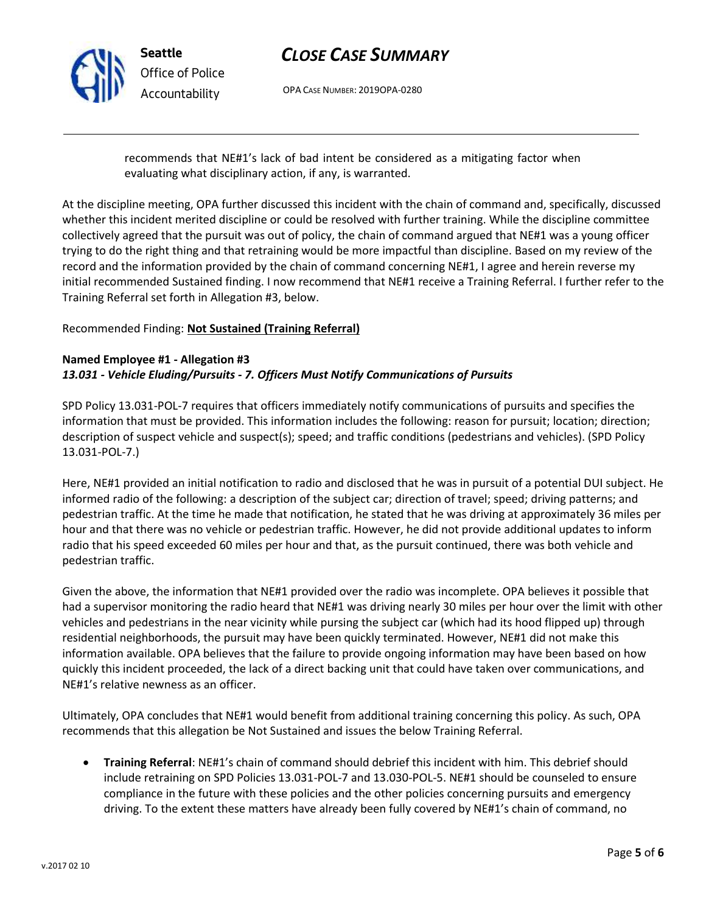

# *CLOSE CASE SUMMARY*

OPA CASE NUMBER: 2019OPA-0280

recommends that NE#1's lack of bad intent be considered as a mitigating factor when evaluating what disciplinary action, if any, is warranted.

At the discipline meeting, OPA further discussed this incident with the chain of command and, specifically, discussed whether this incident merited discipline or could be resolved with further training. While the discipline committee collectively agreed that the pursuit was out of policy, the chain of command argued that NE#1 was a young officer trying to do the right thing and that retraining would be more impactful than discipline. Based on my review of the record and the information provided by the chain of command concerning NE#1, I agree and herein reverse my initial recommended Sustained finding. I now recommend that NE#1 receive a Training Referral. I further refer to the Training Referral set forth in Allegation #3, below.

## Recommended Finding: **Not Sustained (Training Referral)**

### **Named Employee #1 - Allegation #3** *13.031 - Vehicle Eluding/Pursuits - 7. Officers Must Notify Communications of Pursuits*

SPD Policy 13.031-POL-7 requires that officers immediately notify communications of pursuits and specifies the information that must be provided. This information includes the following: reason for pursuit; location; direction; description of suspect vehicle and suspect(s); speed; and traffic conditions (pedestrians and vehicles). (SPD Policy 13.031-POL-7.)

Here, NE#1 provided an initial notification to radio and disclosed that he was in pursuit of a potential DUI subject. He informed radio of the following: a description of the subject car; direction of travel; speed; driving patterns; and pedestrian traffic. At the time he made that notification, he stated that he was driving at approximately 36 miles per hour and that there was no vehicle or pedestrian traffic. However, he did not provide additional updates to inform radio that his speed exceeded 60 miles per hour and that, as the pursuit continued, there was both vehicle and pedestrian traffic.

Given the above, the information that NE#1 provided over the radio was incomplete. OPA believes it possible that had a supervisor monitoring the radio heard that NE#1 was driving nearly 30 miles per hour over the limit with other vehicles and pedestrians in the near vicinity while pursing the subject car (which had its hood flipped up) through residential neighborhoods, the pursuit may have been quickly terminated. However, NE#1 did not make this information available. OPA believes that the failure to provide ongoing information may have been based on how quickly this incident proceeded, the lack of a direct backing unit that could have taken over communications, and NE#1's relative newness as an officer.

Ultimately, OPA concludes that NE#1 would benefit from additional training concerning this policy. As such, OPA recommends that this allegation be Not Sustained and issues the below Training Referral.

• **Training Referral**: NE#1's chain of command should debrief this incident with him. This debrief should include retraining on SPD Policies 13.031-POL-7 and 13.030-POL-5. NE#1 should be counseled to ensure compliance in the future with these policies and the other policies concerning pursuits and emergency driving. To the extent these matters have already been fully covered by NE#1's chain of command, no